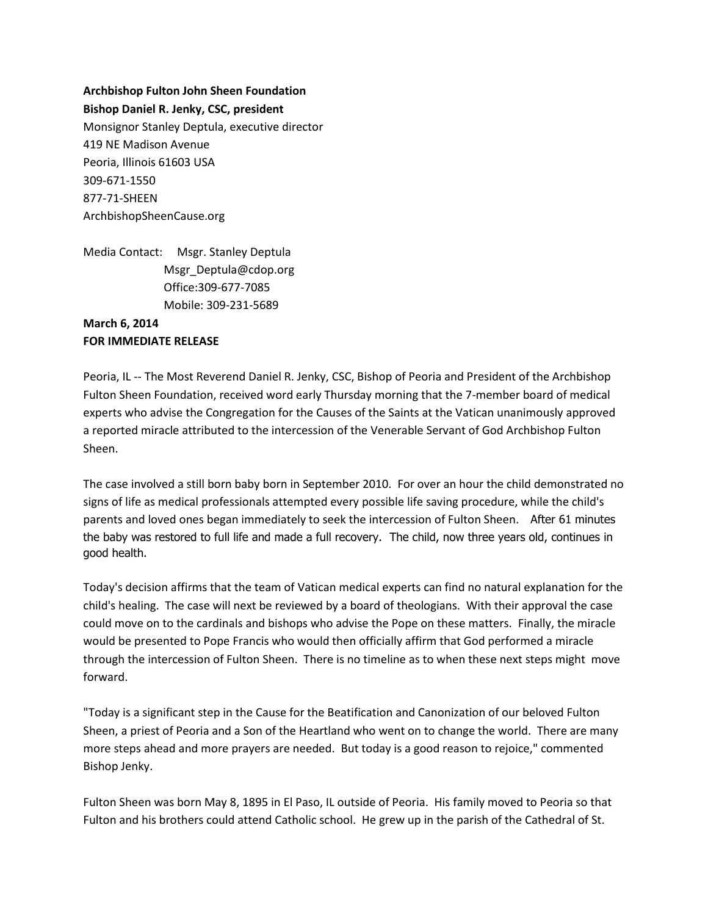**Archbishop Fulton John Sheen Foundation Bishop Daniel R. Jenky, CSC, president** Monsignor Stanley Deptula, executive director 419 NE Madison Avenue Peoria, Illinois 61603 USA 309-671-1550 877-71-SHEEN ArchbishopSheenCause.org

Media Contact: Msgr. Stanley Deptula Msgr\_Deptula@cdop.org Office:309-677-7085 Mobile: 309-231-5689

## **March 6, 2014 FOR IMMEDIATE RELEASE**

Peoria, IL -- The Most Reverend Daniel R. Jenky, CSC, Bishop of Peoria and President of the Archbishop Fulton Sheen Foundation, received word early Thursday morning that the 7-member board of medical experts who advise the Congregation for the Causes of the Saints at the Vatican unanimously approved a reported miracle attributed to the intercession of the Venerable Servant of God Archbishop Fulton Sheen.

The case involved a still born baby born in September 2010. For over an hour the child demonstrated no signs of life as medical professionals attempted every possible life saving procedure, while the child's parents and loved ones began immediately to seek the intercession of Fulton Sheen. After 61 minutes the baby was restored to full life and made a full recovery. The child, now three years old, continues in good health.

Today's decision affirms that the team of Vatican medical experts can find no natural explanation for the child's healing. The case will next be reviewed by a board of theologians. With their approval the case could move on to the cardinals and bishops who advise the Pope on these matters. Finally, the miracle would be presented to Pope Francis who would then officially affirm that God performed a miracle through the intercession of Fulton Sheen. There is no timeline as to when these next steps might move forward.

"Today is a significant step in the Cause for the Beatification and Canonization of our beloved Fulton Sheen, a priest of Peoria and a Son of the Heartland who went on to change the world. There are many more steps ahead and more prayers are needed. But today is a good reason to rejoice," commented Bishop Jenky.

Fulton Sheen was born May 8, 1895 in El Paso, IL outside of Peoria. His family moved to Peoria so that Fulton and his brothers could attend Catholic school. He grew up in the parish of the Cathedral of St.